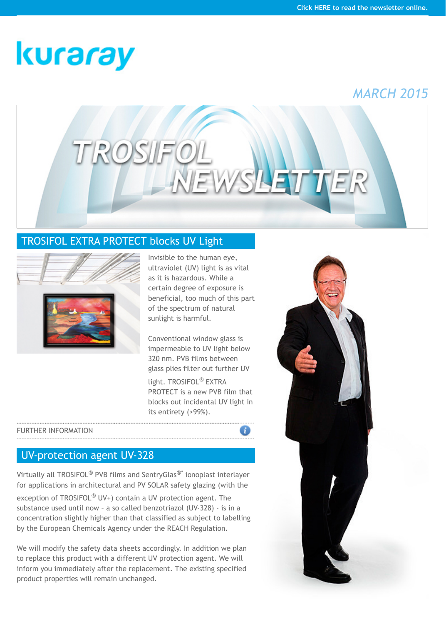## [TROSIFOL EXTRA PROTECT blocks UV Light](http://www.trosifol.com/)



Invisible to the human eye, ultraviolet (UV) light is as vital as it is hazardous. While a certain degree of exposure is beneficial, too much of this part of the spectrum of natural sunlight is harmful.

Conventional window glass is impermeable to UV light below 320 nm. PVB films between glass plies filter out further UV light. TROSIFOL® EXTRA PROTECT is a new PVB film that blocks out incidental UV light in its entirety (>99%).

## FURTHER INFORMATION

## UV-protection agent UV-328

Virtually all TROSIFOL® PVB films and SentryGlas®\* ionoplast interlayer for applications in architectural and PV SOLAR safety glazing (with the exception of TROSIFOL<sup>®</sup> UV+) contain a UV protection agent. The substance used until now – a so called benzotriazol (UV-328) - is in a concentration slightly higher than that classified as subject to labelling by the European Chemicals Agency under the REACH Regulation.

We will modify the safety data sheets accordingly. In addition we plan to replace this product with a different UV protection agent. We will inform you immediately after the replacement. The existing specified product properties will remain unchanged.